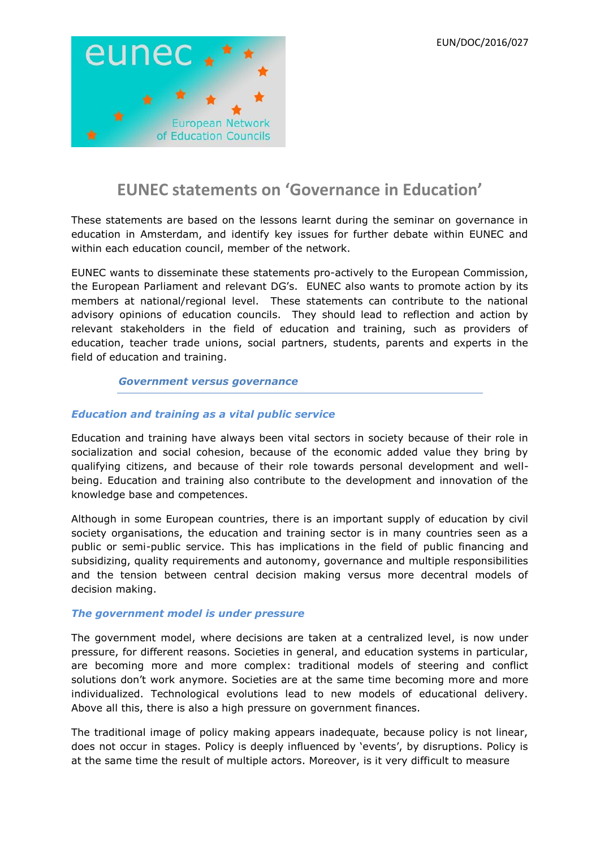

# **EUNEC statements on 'Governance in Education'**

These statements are based on the lessons learnt during the seminar on governance in education in Amsterdam, and identify key issues for further debate within EUNEC and within each education council, member of the network.

EUNEC wants to disseminate these statements pro-actively to the European Commission, the European Parliament and relevant DG's. EUNEC also wants to promote action by its members at national/regional level. These statements can contribute to the national advisory opinions of education councils. They should lead to reflection and action by relevant stakeholders in the field of education and training, such as providers of education, teacher trade unions, social partners, students, parents and experts in the field of education and training.

### *Government versus governance*

## *Education and training as a vital public service*

Education and training have always been vital sectors in society because of their role in socialization and social cohesion, because of the economic added value they bring by qualifying citizens, and because of their role towards personal development and wellbeing. Education and training also contribute to the development and innovation of the knowledge base and competences.

Although in some European countries, there is an important supply of education by civil society organisations, the education and training sector is in many countries seen as a public or semi-public service. This has implications in the field of public financing and subsidizing, quality requirements and autonomy, governance and multiple responsibilities and the tension between central decision making versus more decentral models of decision making.

### *The government model is under pressure*

The government model, where decisions are taken at a centralized level, is now under pressure, for different reasons. Societies in general, and education systems in particular, are becoming more and more complex: traditional models of steering and conflict solutions don't work anymore. Societies are at the same time becoming more and more individualized. Technological evolutions lead to new models of educational delivery. Above all this, there is also a high pressure on government finances.

The traditional image of policy making appears inadequate, because policy is not linear, does not occur in stages. Policy is deeply influenced by 'events', by disruptions. Policy is at the same time the result of multiple actors. Moreover, is it very difficult to measure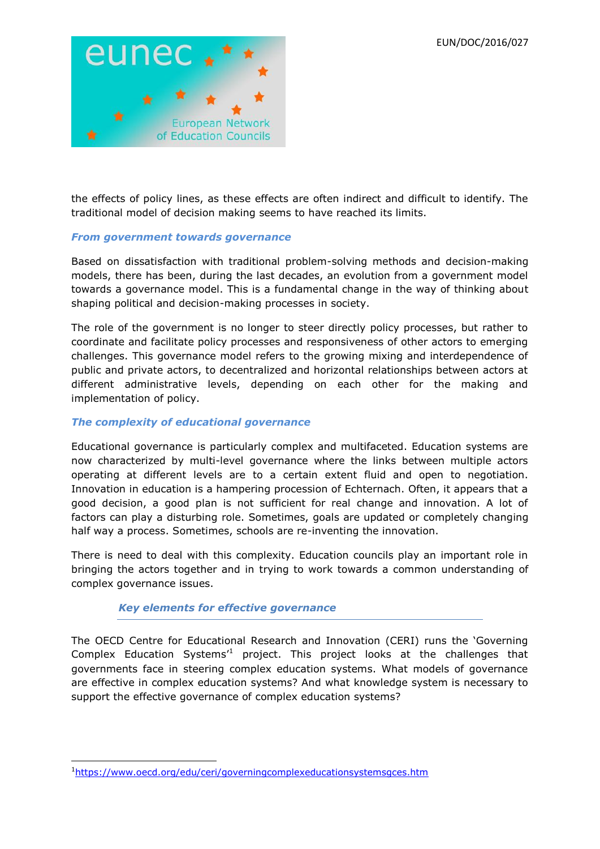

the effects of policy lines, as these effects are often indirect and difficult to identify. The traditional model of decision making seems to have reached its limits.

### *From government towards governance*

Based on dissatisfaction with traditional problem-solving methods and decision-making models, there has been, during the last decades, an evolution from a government model towards a governance model. This is a fundamental change in the way of thinking about shaping political and decision-making processes in society.

The role of the government is no longer to steer directly policy processes, but rather to coordinate and facilitate policy processes and responsiveness of other actors to emerging challenges. This governance model refers to the growing mixing and interdependence of public and private actors, to decentralized and horizontal relationships between actors at different administrative levels, depending on each other for the making and implementation of policy.

## *The complexity of educational governance*

Educational governance is particularly complex and multifaceted. Education systems are now characterized by multi-level governance where the links between multiple actors operating at different levels are to a certain extent fluid and open to negotiation. Innovation in education is a hampering procession of Echternach. Often, it appears that a good decision, a good plan is not sufficient for real change and innovation. A lot of factors can play a disturbing role. Sometimes, goals are updated or completely changing half way a process. Sometimes, schools are re-inventing the innovation.

There is need to deal with this complexity. Education councils play an important role in bringing the actors together and in trying to work towards a common understanding of complex governance issues.

### *Key elements for effective governance*

The OECD Centre for Educational Research and Innovation (CERI) runs the 'Governing Complex Education Systems<sup>1</sup> project. This project looks at the challenges that governments face in steering complex education systems. What models of governance are effective in complex education systems? And what knowledge system is necessary to support the effective governance of complex education systems?

**.** 

<sup>1</sup><https://www.oecd.org/edu/ceri/governingcomplexeducationsystemsgces.htm>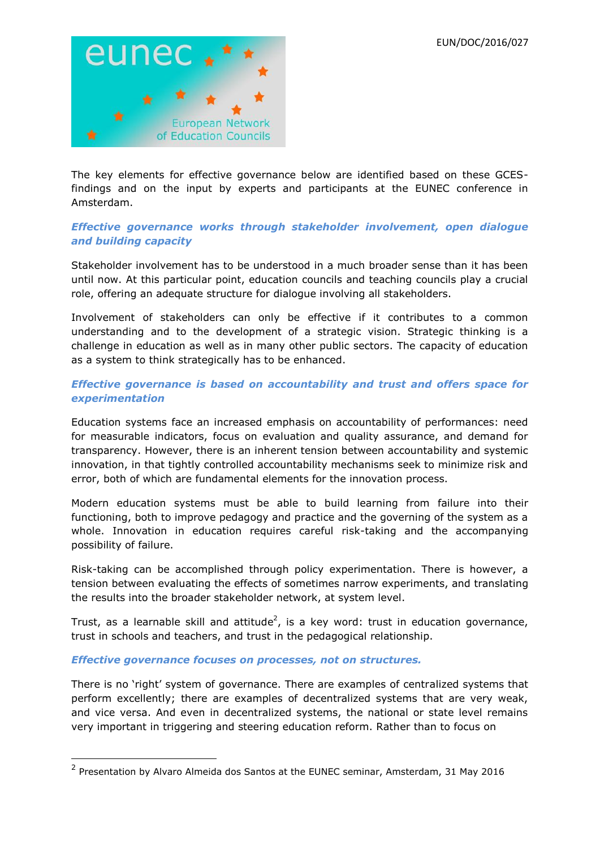

The key elements for effective governance below are identified based on these GCESfindings and on the input by experts and participants at the EUNEC conference in Amsterdam.

## *Effective governance works through stakeholder involvement, open dialogue and building capacity*

Stakeholder involvement has to be understood in a much broader sense than it has been until now. At this particular point, education councils and teaching councils play a crucial role, offering an adequate structure for dialogue involving all stakeholders.

Involvement of stakeholders can only be effective if it contributes to a common understanding and to the development of a strategic vision. Strategic thinking is a challenge in education as well as in many other public sectors. The capacity of education as a system to think strategically has to be enhanced.

# *Effective governance is based on accountability and trust and offers space for experimentation*

Education systems face an increased emphasis on accountability of performances: need for measurable indicators, focus on evaluation and quality assurance, and demand for transparency. However, there is an inherent tension between accountability and systemic innovation, in that tightly controlled accountability mechanisms seek to minimize risk and error, both of which are fundamental elements for the innovation process.

Modern education systems must be able to build learning from failure into their functioning, both to improve pedagogy and practice and the governing of the system as a whole. Innovation in education requires careful risk-taking and the accompanying possibility of failure.

Risk-taking can be accomplished through policy experimentation. There is however, a tension between evaluating the effects of sometimes narrow experiments, and translating the results into the broader stakeholder network, at system level.

Trust, as a learnable skill and attitude<sup>2</sup>, is a key word: trust in education governance, trust in schools and teachers, and trust in the pedagogical relationship.

### *Effective governance focuses on processes, not on structures.*

**.** 

There is no 'right' system of governance. There are examples of centralized systems that perform excellently; there are examples of decentralized systems that are very weak, and vice versa. And even in decentralized systems, the national or state level remains very important in triggering and steering education reform. Rather than to focus on

 $2$  Presentation by Alvaro Almeida dos Santos at the EUNEC seminar, Amsterdam, 31 May 2016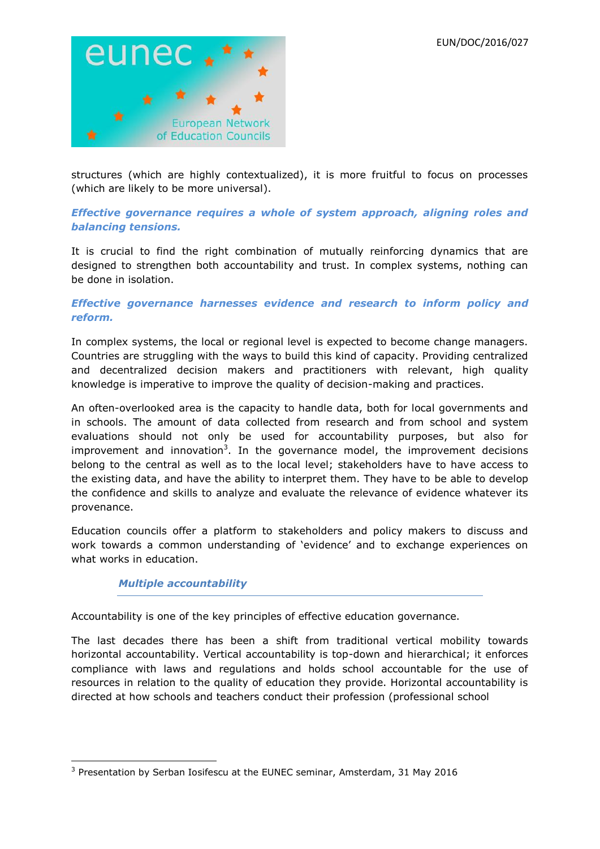

structures (which are highly contextualized), it is more fruitful to focus on processes (which are likely to be more universal).

# *Effective governance requires a whole of system approach, aligning roles and balancing tensions.*

It is crucial to find the right combination of mutually reinforcing dynamics that are designed to strengthen both accountability and trust. In complex systems, nothing can be done in isolation.

# *Effective governance harnesses evidence and research to inform policy and reform.*

In complex systems, the local or regional level is expected to become change managers. Countries are struggling with the ways to build this kind of capacity. Providing centralized and decentralized decision makers and practitioners with relevant, high quality knowledge is imperative to improve the quality of decision-making and practices.

An often-overlooked area is the capacity to handle data, both for local governments and in schools. The amount of data collected from research and from school and system evaluations should not only be used for accountability purposes, but also for improvement and innovation<sup>3</sup>. In the governance model, the improvement decisions belong to the central as well as to the local level; stakeholders have to have access to the existing data, and have the ability to interpret them. They have to be able to develop the confidence and skills to analyze and evaluate the relevance of evidence whatever its provenance.

Education councils offer a platform to stakeholders and policy makers to discuss and work towards a common understanding of 'evidence' and to exchange experiences on what works in education.

## *Multiple accountability*

Accountability is one of the key principles of effective education governance.

The last decades there has been a shift from traditional vertical mobility towards horizontal accountability. Vertical accountability is top-down and hierarchical; it enforces compliance with laws and regulations and holds school accountable for the use of resources in relation to the quality of education they provide. Horizontal accountability is directed at how schools and teachers conduct their profession (professional school

**<sup>.</sup>** <sup>3</sup> Presentation by Serban Iosifescu at the EUNEC seminar, Amsterdam, 31 May 2016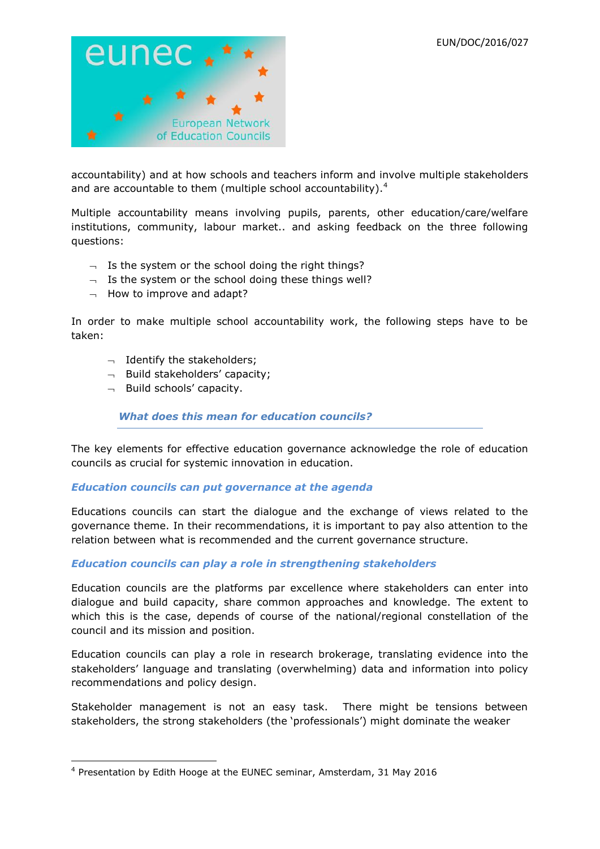

accountability) and at how schools and teachers inform and involve multiple stakeholders and are accountable to them (multiple school accountability).<sup>4</sup>

Multiple accountability means involving pupils, parents, other education/care/welfare institutions, community, labour market.. and asking feedback on the three following questions:

- $\overline{\phantom{a}}$  Is the system or the school doing the right things?
- $\lnot$  Is the system or the school doing these things well?
- $\lnot$  How to improve and adapt?

In order to make multiple school accountability work, the following steps have to be taken:

- $\lnot$  Identify the stakeholders;
- $\neg$  Build stakeholders' capacity;
- $\lnot$  Build schools' capacity.

*What does this mean for education councils?*

The key elements for effective education governance acknowledge the role of education councils as crucial for systemic innovation in education.

## *Education councils can put governance at the agenda*

Educations councils can start the dialogue and the exchange of views related to the governance theme. In their recommendations, it is important to pay also attention to the relation between what is recommended and the current governance structure.

## *Education councils can play a role in strengthening stakeholders*

Education councils are the platforms par excellence where stakeholders can enter into dialogue and build capacity, share common approaches and knowledge. The extent to which this is the case, depends of course of the national/regional constellation of the council and its mission and position.

Education councils can play a role in research brokerage, translating evidence into the stakeholders' language and translating (overwhelming) data and information into policy recommendations and policy design.

Stakeholder management is not an easy task. There might be tensions between stakeholders, the strong stakeholders (the 'professionals') might dominate the weaker

**<sup>.</sup>** <sup>4</sup> Presentation by Edith Hooge at the EUNEC seminar, Amsterdam, 31 May 2016